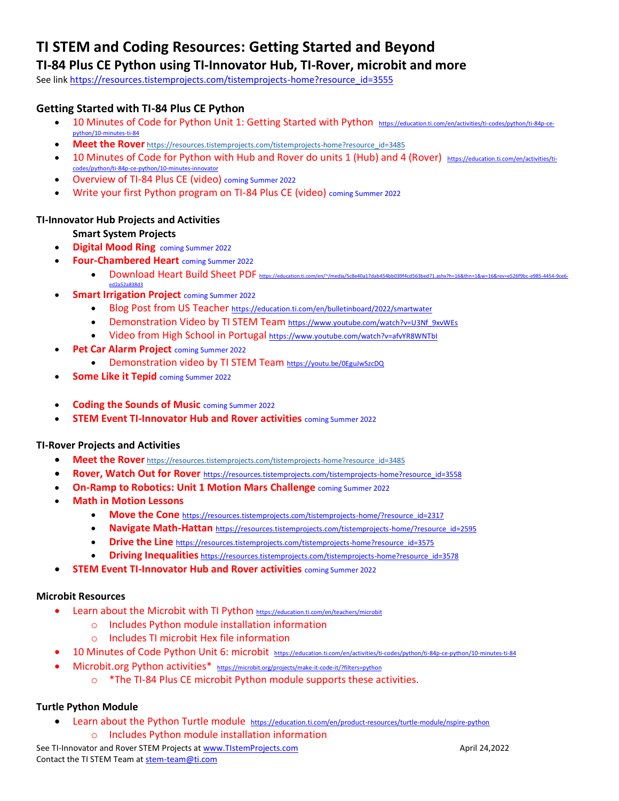# **TI STEM and Coding Resources: Getting Started and Beyond**

## **TI-84 Plus CE Python using TI-Innovator Hub, TI-Rover, microbit and more**

See lin[k https://resources.tistemprojects.com/tistemprojects-home?resource\\_id=3555](https://resources.tistemprojects.com/tistemprojects-home?resource_id=3555)

## **Getting Started with TI-84 Plus CE Python**

- 10 [Minutes](https://nam11.safelinks.protection.outlook.com/?url=https%3A%2F%2Feducation.ti.com%2Fen%2Factivities%2Fti-codes%2Fpython%2Fnspire%2520%250d10&data=04%7C01%7Cconchita.england%40acboe.net%7Cff41f4b3a71349184ae208d9a9d5c6a1%7C95906bbc973947fc9c7faf193d7e5c12%7C0%7C0%7C637727557928885500%7CUnknown%7CTWFpbGZsb3d8eyJWIjoiMC4wLjAwMDAiLCJQIjoiV2luMzIiLCJBTiI6Ik1haWwiLCJXVCI6Mn0%3D%7C3000&sdata=Pb5yIJlMHifaSAHA1xcSr5tHk2JgIDzxGu7qWsBnsv4%3D&reserved=0) of Code for Python Unit 1: Getting Started with Python [https://education.ti.com/en/activities/ti-codes/python/ti-84p-ce](https://education.ti.com/en/activities/ti-codes/python/ti-84p-ce-python/10-minutes-ti-84)[python/10-minutes-ti-84](https://education.ti.com/en/activities/ti-codes/python/ti-84p-ce-python/10-minutes-ti-84)
- **Meet the Rover** [https://resources.tistemprojects.com/tistemprojects-home?resource\\_id=3485](https://resources.tistemprojects.com/tistemprojects-home?resource_id=3485)
- 10 [Minutes](https://nam11.safelinks.protection.outlook.com/?url=https%3A%2F%2Feducation.ti.com%2Fen%2Factivities%2Fti-codes%2Fpython%2Fnspire%2520%250d10&data=04%7C01%7Cconchita.england%40acboe.net%7Cff41f4b3a71349184ae208d9a9d5c6a1%7C95906bbc973947fc9c7faf193d7e5c12%7C0%7C0%7C637727557928885500%7CUnknown%7CTWFpbGZsb3d8eyJWIjoiMC4wLjAwMDAiLCJQIjoiV2luMzIiLCJBTiI6Ik1haWwiLCJXVCI6Mn0%3D%7C3000&sdata=Pb5yIJlMHifaSAHA1xcSr5tHk2JgIDzxGu7qWsBnsv4%3D&reserved=0) of Code for Python with Hub and Rover do units 1 (Hub) and 4 (Rover) [https://education.ti.com/en/activities/ti](https://education.ti.com/en/activities/ti-codes/python/ti-84p-ce-python/10-minutes-innovator)[codes/python/ti-84p-ce-python/10-minutes-innovator](https://education.ti.com/en/activities/ti-codes/python/ti-84p-ce-python/10-minutes-innovator)
- Overview of TI-84 Plus CE (video) coming Summer 2022
- Write your first Python program on TI-84 Plus CE (video) coming Summer 2022

## **TI-Innovator Hub Projects and Activities**

## **Smart System Projects**

- **Digital Mood Ring** coming Summer 2022
- **Four-Chambered Heart** coming Summer 2022
	- Download Heart Build Sheet PDF https://education.ti.com/en/~/media/5c8e40a17dab454bb039f4cd563bed71.ashx?h=16&thn=1&w=16&rev=e526f9bc-e985-4454-9ce6 [ed2a52a838d3](https://education.ti.com/en/~/media/5c8e40a17dab454bb039f4cd563bed71.ashx?h=16&thn=1&w=16&rev=e526f9bc-e985-4454-9ce6-ed2a52a838d3)
	- **Smart Irrigation Project** coming Summer 2022
		- Blog Post from US Teacher <https://education.ti.com/en/bulletinboard/2022/smartwater>
		- Demonstration Video by TI STEM Team [https://www.youtube.com/watch?v=U3Nf\\_9xvWEs](https://www.youtube.com/watch?v=U3Nf_9xvWEs)
		- Video from High School in Portugal <https://www.youtube.com/watch?v=afvYR8WNTbI>
- **Pet Car Alarm Project** coming Summer 2022
	- Demonstration video by TI STEM Team <https://youtu.be/0EguJwSzcDQ>
- **Some Like it Tepid** coming Summer 2022
- **Coding the Sounds of Music** coming Summer 2022
- **STEM Event TI-Innovator Hub and Rover activities** coming Summer 2022

## **TI-Rover Projects and Activities**

- **Meet the Rover** [https://resources.tistemprojects.com/tistemprojects-home?resource\\_id=3485](https://resources.tistemprojects.com/tistemprojects-home?resource_id=3485)
- **Rover, Watch Out for Rover** [https://resources.tistemprojects.com/tistemprojects-home?resource\\_id=3558](https://resources.tistemprojects.com/tistemprojects-home?resource_id=3558)
- **On-Ramp to Robotics: Unit 1 Motion Mars Challenge** coming Summer 2022
- **Math in Motion Lessons** 
	- **Move the Cone** [https://resources.tistemprojects.com/tistemprojects-home/?resource\\_id=2317](https://resources.tistemprojects.com/tistemprojects-home/?resource_id=2317)
	- **Navigate Math-Hattan** [https://resources.tistemprojects.com/tistemprojects-home/?resource\\_id=2595](https://resources.tistemprojects.com/tistemprojects-home/?resource_id=2595)
	- **• Drive the Line** [https://resources.tistemprojects.com/tistemprojects-home?resource\\_id=3575](https://resources.tistemprojects.com/tistemprojects-home?resource_id=3575)
	- **Driving Inequalities** [https://resources.tistemprojects.com/tistemprojects-home?resource\\_id=3578](https://resources.tistemprojects.com/tistemprojects-home?resource_id=3578)
- **STEM Event TI-Innovator Hub and Rover activities** coming Summer 2022

#### **Microbit Resources**

- Learn about the Microbit with TI Python <https://education.ti.com/en/teachers/microbit>
	- o Includes Python module installation information
	- o Includes TI microbit Hex file information
- 10 Minutes of Code Python Unit 6: microbit <https://education.ti.com/en/activities/ti-codes/python/ti-84p-ce-python/10-minutes-ti-84>
- Microbit.org Python activities\* <https://microbit.org/projects/make-it-code-it/?filters=python>
	- o \*The TI-84 Plus CE microbit Python module supports these activities.

## **Turtle Python Module**

• Learn about the Python Turtle module <https://education.ti.com/en/product-resources/turtle-module/nspire-python> o Includes Python module installation information